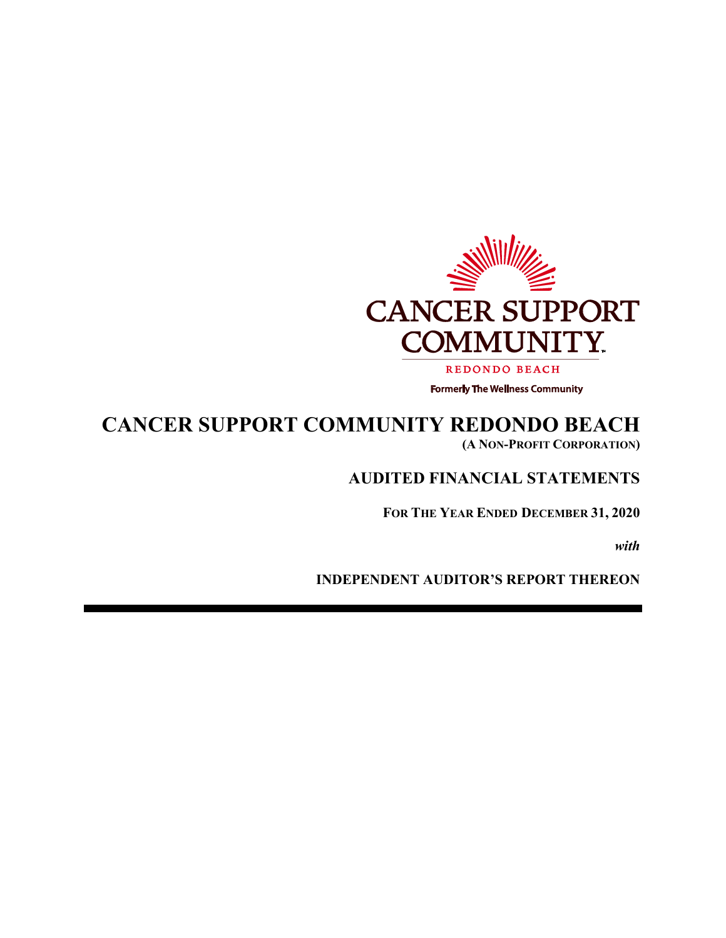

# **CANCER SUPPORT COMMUNITY REDONDO BEACH (A NON-PROFIT CORPORATION)**

# **AUDITED FINANCIAL STATEMENTS**

**FOR THE YEAR ENDED DECEMBER 31, 2020** 

*with* 

**INDEPENDENT AUDITOR'S REPORT THEREON**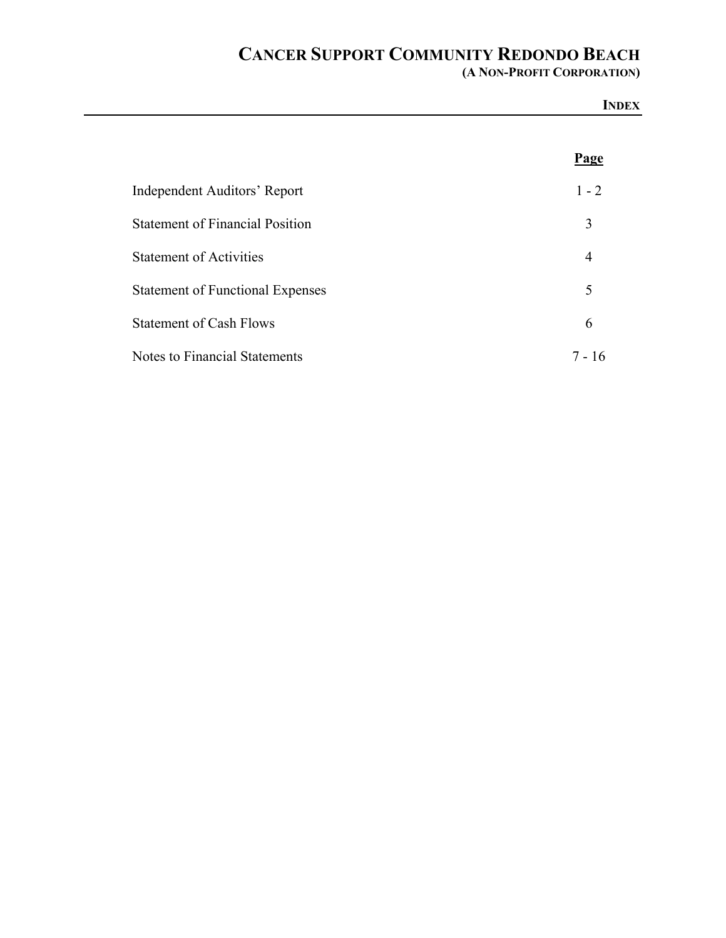**(A NON-PROFIT CORPORATION)**

|                                         | <b>INDEX</b>   |
|-----------------------------------------|----------------|
|                                         | <b>Page</b>    |
| Independent Auditors' Report            | $1 - 2$        |
| <b>Statement of Financial Position</b>  | 3              |
| <b>Statement of Activities</b>          | $\overline{4}$ |
| <b>Statement of Functional Expenses</b> | 5              |
| <b>Statement of Cash Flows</b>          | 6              |
| <b>Notes to Financial Statements</b>    | $7 - 16$       |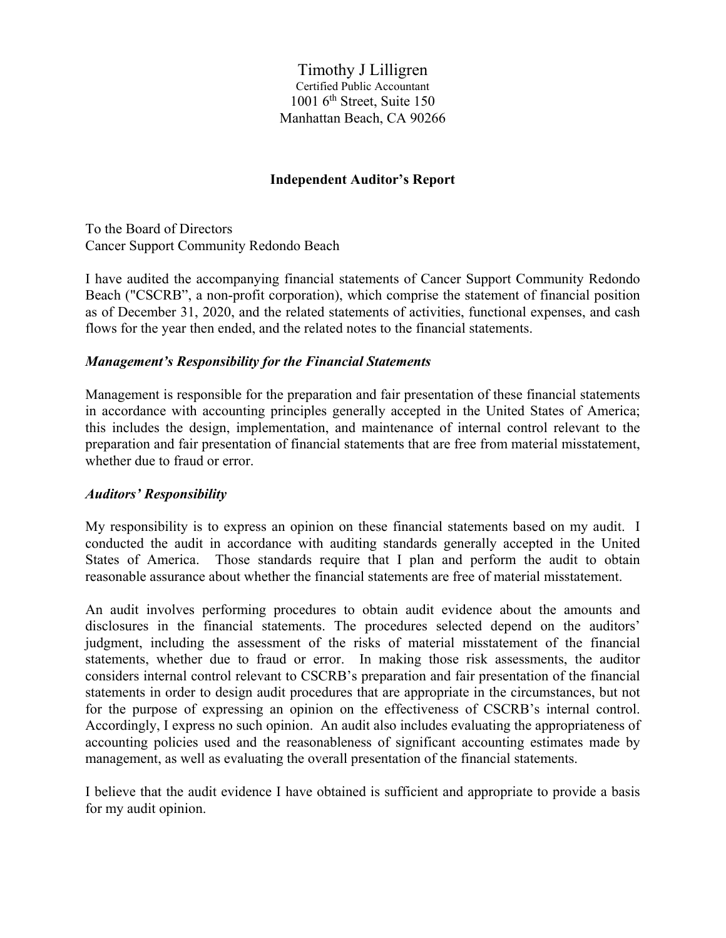Timothy J Lilligren Certified Public Accountant  $1001$  6<sup>th</sup> Street, Suite 150 Manhattan Beach, CA 90266

#### **Independent Auditor's Report**

To the Board of Directors Cancer Support Community Redondo Beach

I have audited the accompanying financial statements of Cancer Support Community Redondo Beach ("CSCRB", a non-profit corporation), which comprise the statement of financial position as of December 31, 2020, and the related statements of activities, functional expenses, and cash flows for the year then ended, and the related notes to the financial statements.

#### *Management's Responsibility for the Financial Statements*

Management is responsible for the preparation and fair presentation of these financial statements in accordance with accounting principles generally accepted in the United States of America; this includes the design, implementation, and maintenance of internal control relevant to the preparation and fair presentation of financial statements that are free from material misstatement, whether due to fraud or error.

#### *Auditors' Responsibility*

My responsibility is to express an opinion on these financial statements based on my audit. I conducted the audit in accordance with auditing standards generally accepted in the United States of America. Those standards require that I plan and perform the audit to obtain reasonable assurance about whether the financial statements are free of material misstatement.

An audit involves performing procedures to obtain audit evidence about the amounts and disclosures in the financial statements. The procedures selected depend on the auditors' judgment, including the assessment of the risks of material misstatement of the financial statements, whether due to fraud or error. In making those risk assessments, the auditor considers internal control relevant to CSCRB's preparation and fair presentation of the financial statements in order to design audit procedures that are appropriate in the circumstances, but not for the purpose of expressing an opinion on the effectiveness of CSCRB's internal control. Accordingly, I express no such opinion. An audit also includes evaluating the appropriateness of accounting policies used and the reasonableness of significant accounting estimates made by management, as well as evaluating the overall presentation of the financial statements.

I believe that the audit evidence I have obtained is sufficient and appropriate to provide a basis for my audit opinion.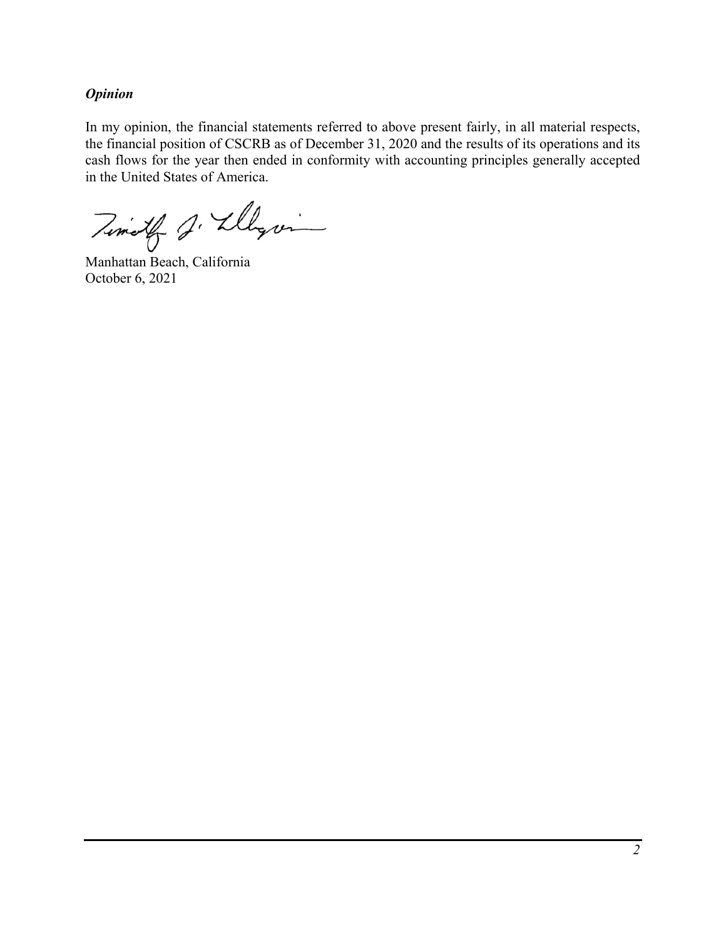### *Opinion*

In my opinion, the financial statements referred to above present fairly, in all material respects, the financial position of CSCRB as of December 31, 2020 and the results of its operations and its cash flows for the year then ended in conformity with accounting principles generally accepted in the United States of America.

Timoth J. Llegam

Manhattan Beach, California October 6, 2021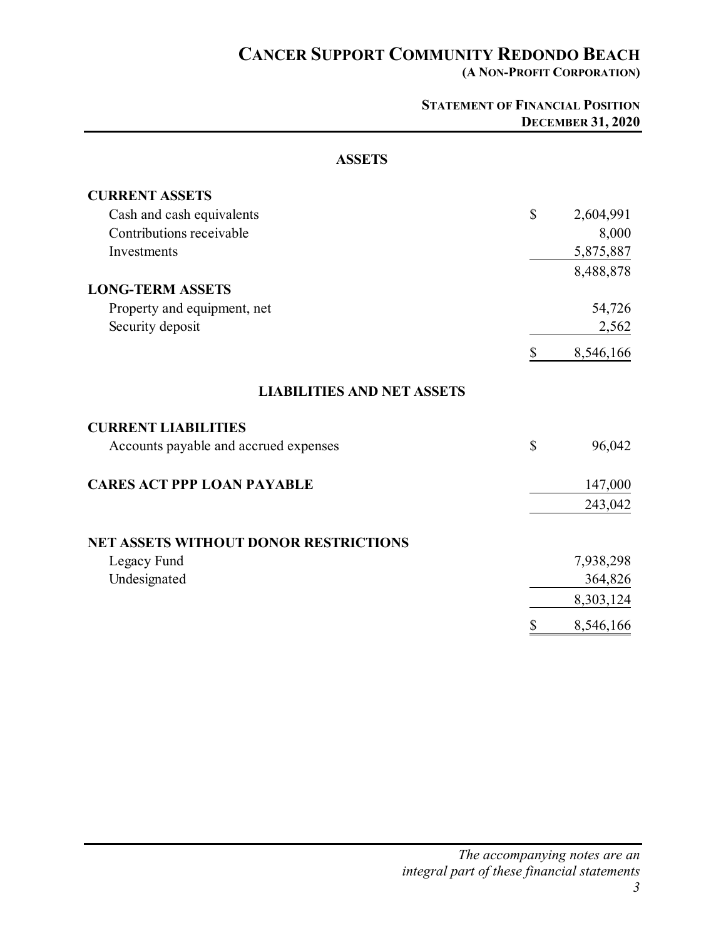**(A NON-PROFIT CORPORATION)** 

|                                              | <b>STATEMENT OF FINANCIAL POSITION</b> | <b>DECEMBER 31, 2020</b> |
|----------------------------------------------|----------------------------------------|--------------------------|
| <b>ASSETS</b>                                |                                        |                          |
| <b>CURRENT ASSETS</b>                        |                                        |                          |
| Cash and cash equivalents                    | $\mathbb{S}$                           | 2,604,991                |
| Contributions receivable                     |                                        | 8,000                    |
| Investments                                  |                                        | 5,875,887                |
|                                              |                                        | 8,488,878                |
| <b>LONG-TERM ASSETS</b>                      |                                        |                          |
| Property and equipment, net                  |                                        | 54,726                   |
| Security deposit                             |                                        | 2,562                    |
|                                              | \$                                     | 8,546,166                |
| <b>LIABILITIES AND NET ASSETS</b>            |                                        |                          |
| <b>CURRENT LIABILITIES</b>                   |                                        |                          |
| Accounts payable and accrued expenses        | $\mathbb{S}$                           | 96,042                   |
| <b>CARES ACT PPP LOAN PAYABLE</b>            |                                        | 147,000                  |
|                                              |                                        | 243,042                  |
| <b>NET ASSETS WITHOUT DONOR RESTRICTIONS</b> |                                        |                          |
| Legacy Fund                                  |                                        | 7,938,298                |
| Undesignated                                 |                                        | 364,826                  |
|                                              |                                        | 8,303,124                |
|                                              | \$                                     | 8,546,166                |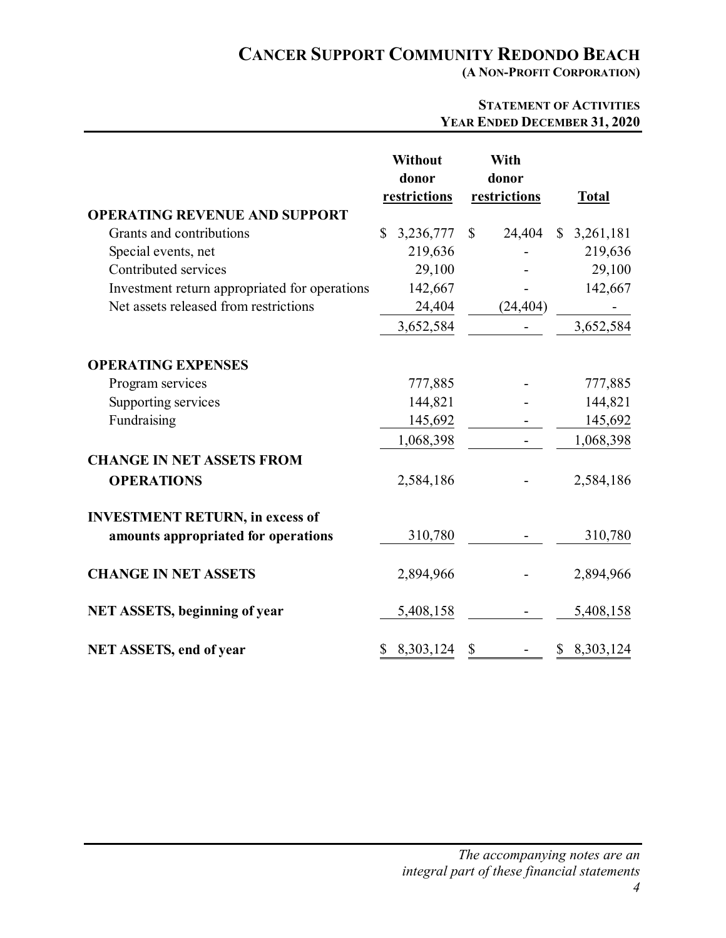**(A NON-PROFIT CORPORATION)** 

### **STATEMENT OF ACTIVITIES YEAR ENDED DECEMBER 31, 2020**

|                                               | <b>Without</b><br>donor<br>restrictions | With<br>donor<br>restrictions | <b>Total</b>              |
|-----------------------------------------------|-----------------------------------------|-------------------------------|---------------------------|
| <b>OPERATING REVENUE AND SUPPORT</b>          |                                         |                               |                           |
| Grants and contributions                      | 3,236,777<br>\$                         | 24,404<br>$\mathbb{S}$        | $\mathbb{S}$<br>3,261,181 |
| Special events, net                           | 219,636                                 |                               | 219,636                   |
| Contributed services                          | 29,100                                  |                               | 29,100                    |
| Investment return appropriated for operations | 142,667                                 |                               | 142,667                   |
| Net assets released from restrictions         | 24,404                                  | (24, 404)                     |                           |
|                                               | 3,652,584                               |                               | 3,652,584                 |
| <b>OPERATING EXPENSES</b>                     |                                         |                               |                           |
| Program services                              | 777,885                                 |                               | 777,885                   |
| Supporting services                           | 144,821                                 |                               | 144,821                   |
| Fundraising                                   | 145,692                                 |                               | 145,692                   |
|                                               | 1,068,398                               |                               | 1,068,398                 |
| <b>CHANGE IN NET ASSETS FROM</b>              |                                         |                               |                           |
| <b>OPERATIONS</b>                             | 2,584,186                               |                               | 2,584,186                 |
| <b>INVESTMENT RETURN, in excess of</b>        |                                         |                               |                           |
| amounts appropriated for operations           | 310,780                                 |                               | 310,780                   |
| <b>CHANGE IN NET ASSETS</b>                   | 2,894,966                               |                               | 2,894,966                 |
| <b>NET ASSETS, beginning of year</b>          | 5,408,158                               |                               | 5,408,158                 |
| <b>NET ASSETS, end of year</b>                | 8,303,124                               | \$                            | 8,303,124<br>\$           |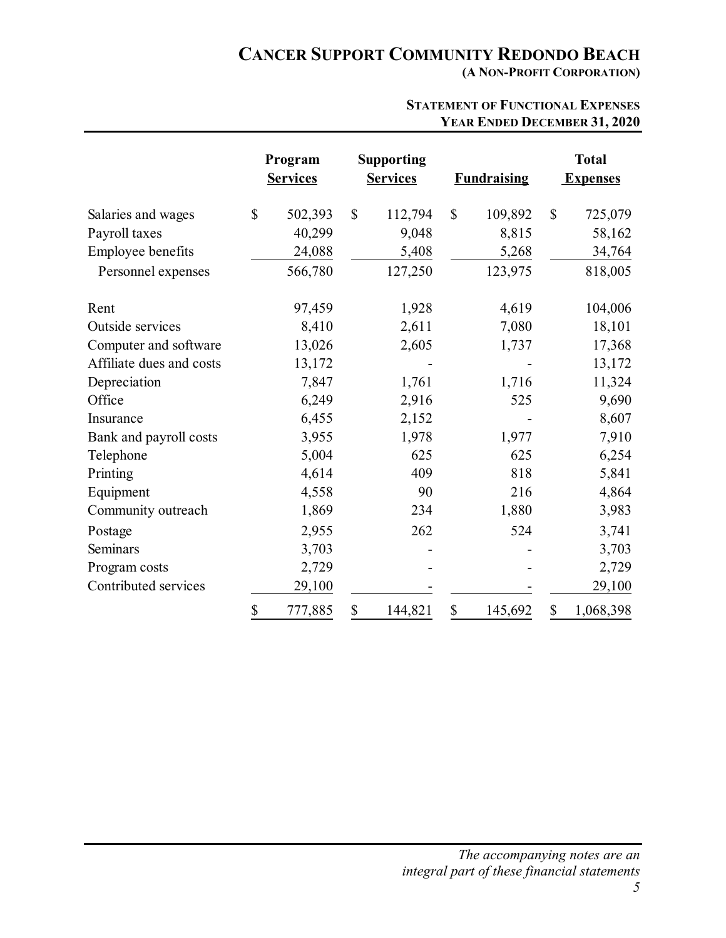**(A NON-PROFIT CORPORATION)** 

|                          | Program<br><b>Services</b> |              | <b>Supporting</b><br><b>Services</b> |              | <b>Fundraising</b> |              | <b>Total</b><br><b>Expenses</b> |
|--------------------------|----------------------------|--------------|--------------------------------------|--------------|--------------------|--------------|---------------------------------|
| Salaries and wages       | \$<br>502,393              | $\mathbb{S}$ | 112,794                              | $\mathbb{S}$ | 109,892            | $\mathbb{S}$ | 725,079                         |
| Payroll taxes            | 40,299                     |              | 9,048                                |              | 8,815              |              | 58,162                          |
| Employee benefits        | 24,088                     |              | 5,408                                |              | 5,268              |              | 34,764                          |
| Personnel expenses       | 566,780                    |              | 127,250                              |              | 123,975            |              | 818,005                         |
| Rent                     | 97,459                     |              | 1,928                                |              | 4,619              |              | 104,006                         |
| Outside services         | 8,410                      |              | 2,611                                |              | 7,080              |              | 18,101                          |
| Computer and software    | 13,026                     |              | 2,605                                |              | 1,737              |              | 17,368                          |
| Affiliate dues and costs | 13,172                     |              |                                      |              |                    |              | 13,172                          |
| Depreciation             | 7,847                      |              | 1,761                                |              | 1,716              |              | 11,324                          |
| Office                   | 6,249                      |              | 2,916                                |              | 525                |              | 9,690                           |
| Insurance                | 6,455                      |              | 2,152                                |              |                    |              | 8,607                           |
| Bank and payroll costs   | 3,955                      |              | 1,978                                |              | 1,977              |              | 7,910                           |
| Telephone                | 5,004                      |              | 625                                  |              | 625                |              | 6,254                           |
| Printing                 | 4,614                      |              | 409                                  |              | 818                |              | 5,841                           |
| Equipment                | 4,558                      |              | 90                                   |              | 216                |              | 4,864                           |
| Community outreach       | 1,869                      |              | 234                                  |              | 1,880              |              | 3,983                           |
| Postage                  | 2,955                      |              | 262                                  |              | 524                |              | 3,741                           |
| Seminars                 | 3,703                      |              |                                      |              |                    |              | 3,703                           |
| Program costs            | 2,729                      |              |                                      |              |                    |              | 2,729                           |
| Contributed services     | 29,100                     |              |                                      |              |                    |              | 29,100                          |
|                          | \$<br>777,885              | \$           | 144,821                              | \$           | 145,692            | \$           | 1,068,398                       |

#### **STATEMENT OF FUNCTIONAL EXPENSES YEAR ENDED DECEMBER 31, 2020**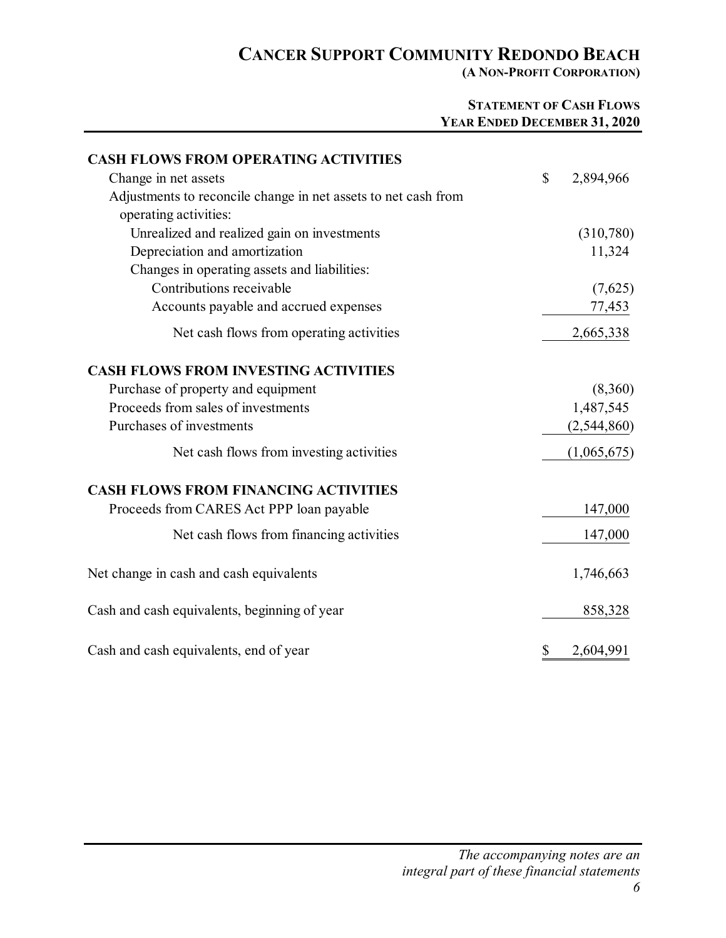**(A NON-PROFIT CORPORATION)** 

### **STATEMENT OF CASH FLOWS YEAR ENDED DECEMBER 31, 2020**

| <b>CASH FLOWS FROM OPERATING ACTIVITIES</b>                    |                 |
|----------------------------------------------------------------|-----------------|
| Change in net assets                                           | \$<br>2,894,966 |
| Adjustments to reconcile change in net assets to net cash from |                 |
| operating activities:                                          |                 |
| Unrealized and realized gain on investments                    | (310,780)       |
| Depreciation and amortization                                  | 11,324          |
| Changes in operating assets and liabilities:                   |                 |
| Contributions receivable                                       | (7,625)         |
| Accounts payable and accrued expenses                          | 77,453          |
| Net cash flows from operating activities                       | 2,665,338       |
| <b>CASH FLOWS FROM INVESTING ACTIVITIES</b>                    |                 |
| Purchase of property and equipment                             | (8,360)         |
| Proceeds from sales of investments                             | 1,487,545       |
| Purchases of investments                                       | (2,544,860)     |
| Net cash flows from investing activities                       | (1,065,675)     |
| <b>CASH FLOWS FROM FINANCING ACTIVITIES</b>                    |                 |
| Proceeds from CARES Act PPP loan payable                       | 147,000         |
| Net cash flows from financing activities                       | 147,000         |
| Net change in cash and cash equivalents                        | 1,746,663       |
| Cash and cash equivalents, beginning of year                   | 858,328         |
| Cash and cash equivalents, end of year                         | \$<br>2,604,991 |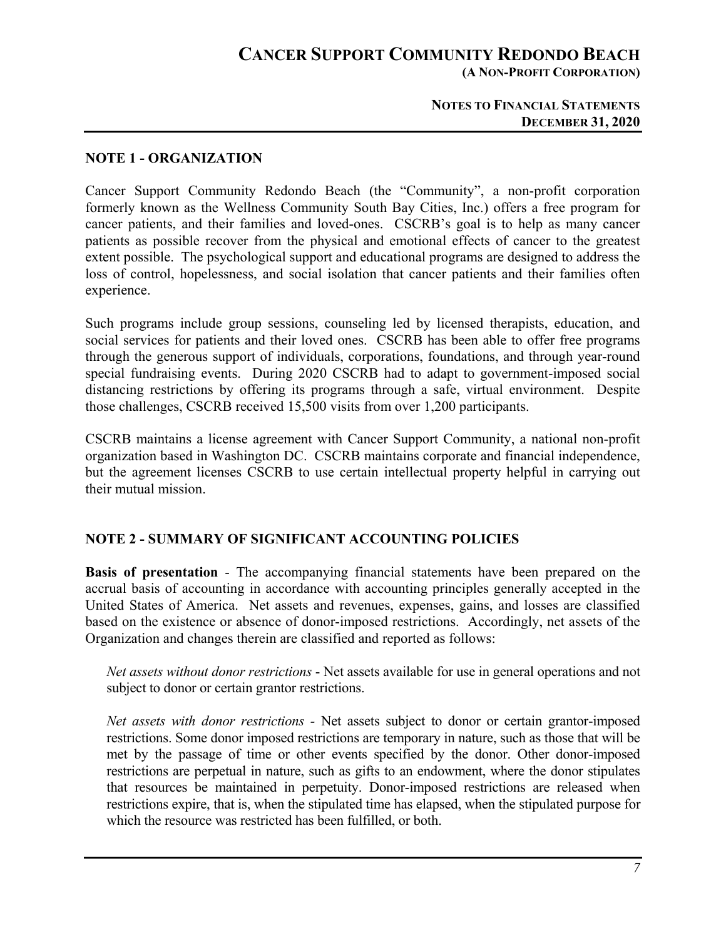## **CANCER SUPPORT COMMUNITY REDONDO BEACH (A NON-PROFIT CORPORATION)**

#### **NOTES TO FINANCIAL STATEMENTS DECEMBER 31, 2020**

#### **NOTE 1 - ORGANIZATION**

Cancer Support Community Redondo Beach (the "Community", a non-profit corporation formerly known as the Wellness Community South Bay Cities, Inc.) offers a free program for cancer patients, and their families and loved-ones. CSCRB's goal is to help as many cancer patients as possible recover from the physical and emotional effects of cancer to the greatest extent possible. The psychological support and educational programs are designed to address the loss of control, hopelessness, and social isolation that cancer patients and their families often experience.

Such programs include group sessions, counseling led by licensed therapists, education, and social services for patients and their loved ones. CSCRB has been able to offer free programs through the generous support of individuals, corporations, foundations, and through year-round special fundraising events. During 2020 CSCRB had to adapt to government-imposed social distancing restrictions by offering its programs through a safe, virtual environment. Despite those challenges, CSCRB received 15,500 visits from over 1,200 participants.

CSCRB maintains a license agreement with Cancer Support Community, a national non-profit organization based in Washington DC. CSCRB maintains corporate and financial independence, but the agreement licenses CSCRB to use certain intellectual property helpful in carrying out their mutual mission.

#### **NOTE 2 - SUMMARY OF SIGNIFICANT ACCOUNTING POLICIES**

**Basis of presentation** - The accompanying financial statements have been prepared on the accrual basis of accounting in accordance with accounting principles generally accepted in the United States of America. Net assets and revenues, expenses, gains, and losses are classified based on the existence or absence of donor-imposed restrictions. Accordingly, net assets of the Organization and changes therein are classified and reported as follows:

*Net assets without donor restrictions* - Net assets available for use in general operations and not subject to donor or certain grantor restrictions.

*Net assets with donor restrictions -* Net assets subject to donor or certain grantor-imposed restrictions. Some donor imposed restrictions are temporary in nature, such as those that will be met by the passage of time or other events specified by the donor. Other donor-imposed restrictions are perpetual in nature, such as gifts to an endowment, where the donor stipulates that resources be maintained in perpetuity. Donor-imposed restrictions are released when restrictions expire, that is, when the stipulated time has elapsed, when the stipulated purpose for which the resource was restricted has been fulfilled, or both.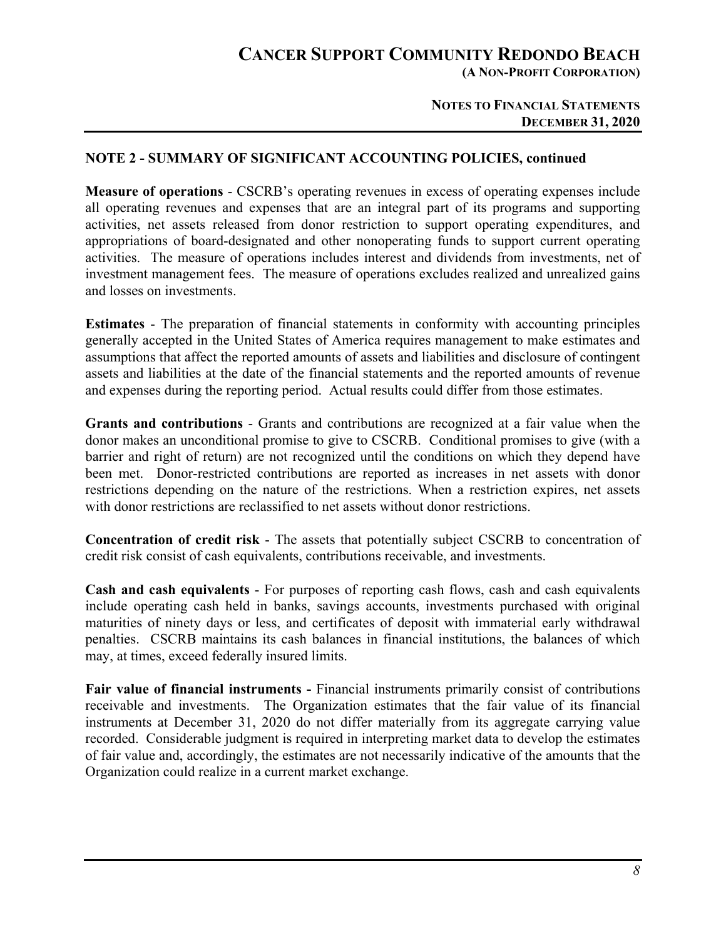**(A NON-PROFIT CORPORATION)** 

#### **NOTES TO FINANCIAL STATEMENTS DECEMBER 31, 2020**

#### **NOTE 2 - SUMMARY OF SIGNIFICANT ACCOUNTING POLICIES, continued**

**Measure of operations** - CSCRB's operating revenues in excess of operating expenses include all operating revenues and expenses that are an integral part of its programs and supporting activities, net assets released from donor restriction to support operating expenditures, and appropriations of board-designated and other nonoperating funds to support current operating activities. The measure of operations includes interest and dividends from investments, net of investment management fees. The measure of operations excludes realized and unrealized gains and losses on investments.

**Estimates** - The preparation of financial statements in conformity with accounting principles generally accepted in the United States of America requires management to make estimates and assumptions that affect the reported amounts of assets and liabilities and disclosure of contingent assets and liabilities at the date of the financial statements and the reported amounts of revenue and expenses during the reporting period. Actual results could differ from those estimates.

**Grants and contributions** - Grants and contributions are recognized at a fair value when the donor makes an unconditional promise to give to CSCRB. Conditional promises to give (with a barrier and right of return) are not recognized until the conditions on which they depend have been met. Donor-restricted contributions are reported as increases in net assets with donor restrictions depending on the nature of the restrictions. When a restriction expires, net assets with donor restrictions are reclassified to net assets without donor restrictions.

**Concentration of credit risk** - The assets that potentially subject CSCRB to concentration of credit risk consist of cash equivalents, contributions receivable, and investments.

**Cash and cash equivalents** - For purposes of reporting cash flows, cash and cash equivalents include operating cash held in banks, savings accounts, investments purchased with original maturities of ninety days or less, and certificates of deposit with immaterial early withdrawal penalties. CSCRB maintains its cash balances in financial institutions, the balances of which may, at times, exceed federally insured limits.

**Fair value of financial instruments -** Financial instruments primarily consist of contributions receivable and investments. The Organization estimates that the fair value of its financial instruments at December 31, 2020 do not differ materially from its aggregate carrying value recorded. Considerable judgment is required in interpreting market data to develop the estimates of fair value and, accordingly, the estimates are not necessarily indicative of the amounts that the Organization could realize in a current market exchange.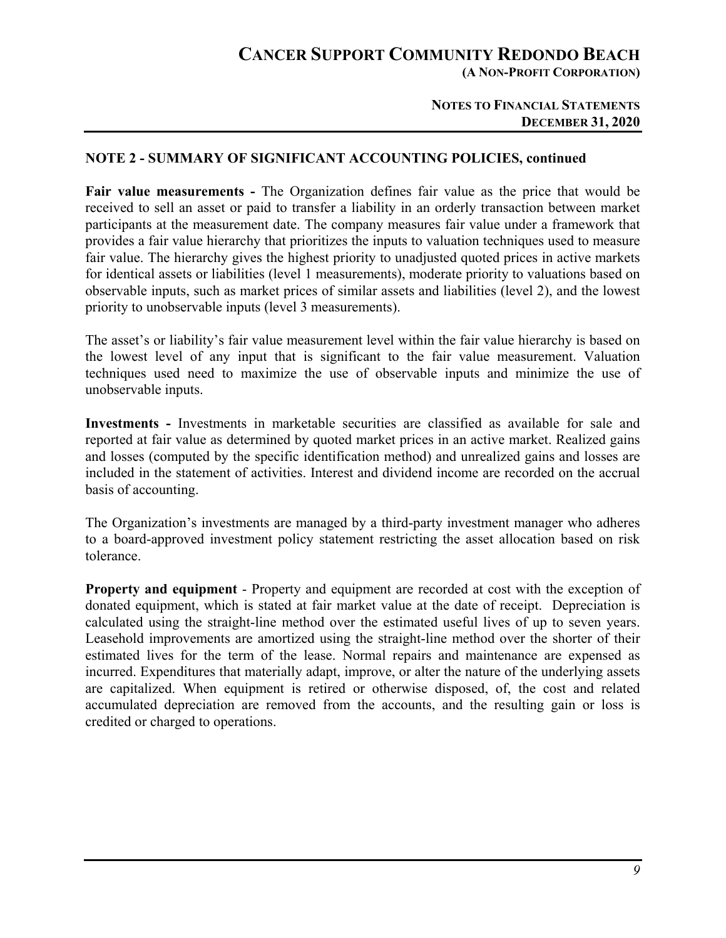**(A NON-PROFIT CORPORATION)** 

#### **NOTES TO FINANCIAL STATEMENTS DECEMBER 31, 2020**

#### **NOTE 2 - SUMMARY OF SIGNIFICANT ACCOUNTING POLICIES, continued**

**Fair value measurements -** The Organization defines fair value as the price that would be received to sell an asset or paid to transfer a liability in an orderly transaction between market participants at the measurement date. The company measures fair value under a framework that provides a fair value hierarchy that prioritizes the inputs to valuation techniques used to measure fair value. The hierarchy gives the highest priority to unadjusted quoted prices in active markets for identical assets or liabilities (level 1 measurements), moderate priority to valuations based on observable inputs, such as market prices of similar assets and liabilities (level 2), and the lowest priority to unobservable inputs (level 3 measurements).

The asset's or liability's fair value measurement level within the fair value hierarchy is based on the lowest level of any input that is significant to the fair value measurement. Valuation techniques used need to maximize the use of observable inputs and minimize the use of unobservable inputs.

**Investments -** Investments in marketable securities are classified as available for sale and reported at fair value as determined by quoted market prices in an active market. Realized gains and losses (computed by the specific identification method) and unrealized gains and losses are included in the statement of activities. Interest and dividend income are recorded on the accrual basis of accounting.

The Organization's investments are managed by a third-party investment manager who adheres to a board-approved investment policy statement restricting the asset allocation based on risk tolerance.

**Property and equipment** - Property and equipment are recorded at cost with the exception of donated equipment, which is stated at fair market value at the date of receipt. Depreciation is calculated using the straight-line method over the estimated useful lives of up to seven years. Leasehold improvements are amortized using the straight-line method over the shorter of their estimated lives for the term of the lease. Normal repairs and maintenance are expensed as incurred. Expenditures that materially adapt, improve, or alter the nature of the underlying assets are capitalized. When equipment is retired or otherwise disposed, of, the cost and related accumulated depreciation are removed from the accounts, and the resulting gain or loss is credited or charged to operations.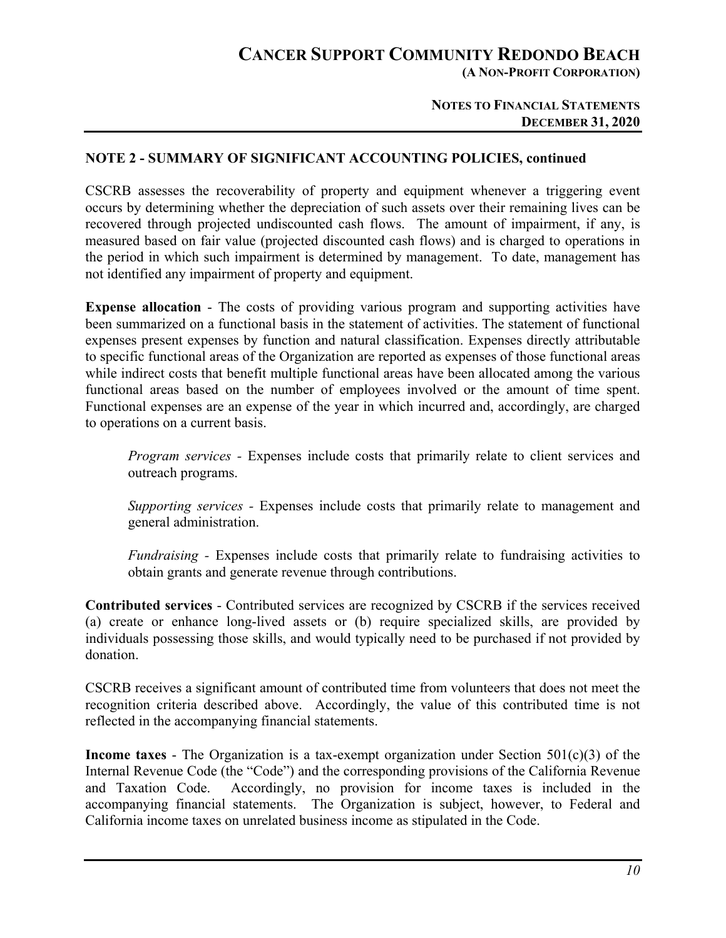**(A NON-PROFIT CORPORATION)** 

#### **NOTES TO FINANCIAL STATEMENTS DECEMBER 31, 2020**

#### **NOTE 2 - SUMMARY OF SIGNIFICANT ACCOUNTING POLICIES, continued**

CSCRB assesses the recoverability of property and equipment whenever a triggering event occurs by determining whether the depreciation of such assets over their remaining lives can be recovered through projected undiscounted cash flows. The amount of impairment, if any, is measured based on fair value (projected discounted cash flows) and is charged to operations in the period in which such impairment is determined by management. To date, management has not identified any impairment of property and equipment.

**Expense allocation** - The costs of providing various program and supporting activities have been summarized on a functional basis in the statement of activities. The statement of functional expenses present expenses by function and natural classification. Expenses directly attributable to specific functional areas of the Organization are reported as expenses of those functional areas while indirect costs that benefit multiple functional areas have been allocated among the various functional areas based on the number of employees involved or the amount of time spent. Functional expenses are an expense of the year in which incurred and, accordingly, are charged to operations on a current basis.

*Program services* - Expenses include costs that primarily relate to client services and outreach programs.

*Supporting services -* Expenses include costs that primarily relate to management and general administration.

*Fundraising -* Expenses include costs that primarily relate to fundraising activities to obtain grants and generate revenue through contributions.

**Contributed services** - Contributed services are recognized by CSCRB if the services received (a) create or enhance long-lived assets or (b) require specialized skills, are provided by individuals possessing those skills, and would typically need to be purchased if not provided by donation.

CSCRB receives a significant amount of contributed time from volunteers that does not meet the recognition criteria described above. Accordingly, the value of this contributed time is not reflected in the accompanying financial statements.

**Income taxes** - The Organization is a tax-exempt organization under Section 501(c)(3) of the Internal Revenue Code (the "Code") and the corresponding provisions of the California Revenue and Taxation Code. Accordingly, no provision for income taxes is included in the accompanying financial statements. The Organization is subject, however, to Federal and California income taxes on unrelated business income as stipulated in the Code.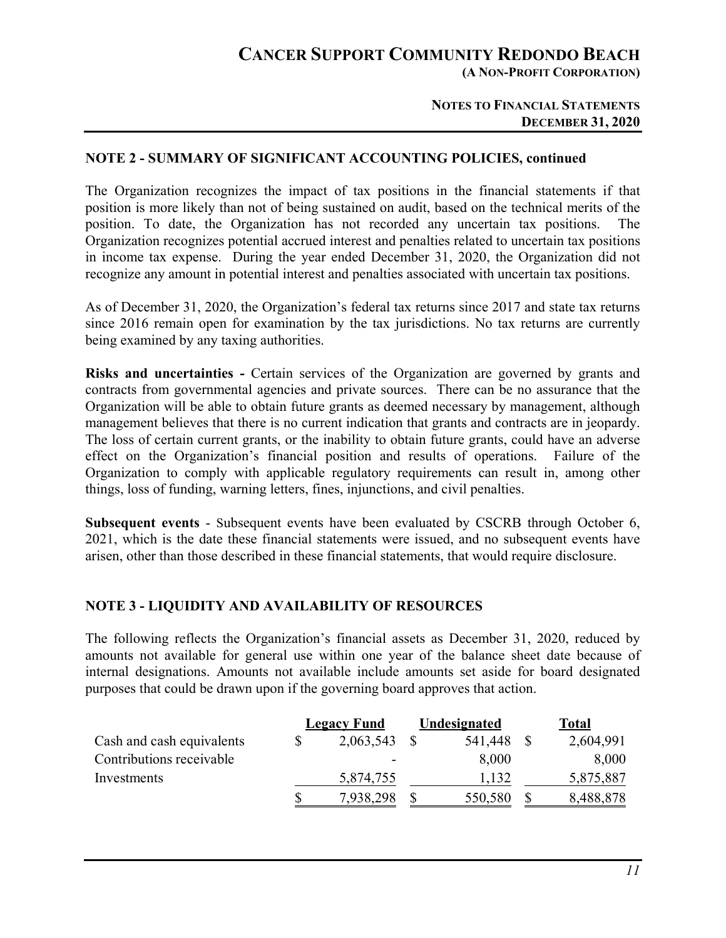**(A NON-PROFIT CORPORATION)** 

#### **NOTES TO FINANCIAL STATEMENTS DECEMBER 31, 2020**

#### **NOTE 2 - SUMMARY OF SIGNIFICANT ACCOUNTING POLICIES, continued**

The Organization recognizes the impact of tax positions in the financial statements if that position is more likely than not of being sustained on audit, based on the technical merits of the position. To date, the Organization has not recorded any uncertain tax positions. The Organization recognizes potential accrued interest and penalties related to uncertain tax positions in income tax expense. During the year ended December 31, 2020, the Organization did not recognize any amount in potential interest and penalties associated with uncertain tax positions.

As of December 31, 2020, the Organization's federal tax returns since 2017 and state tax returns since 2016 remain open for examination by the tax jurisdictions. No tax returns are currently being examined by any taxing authorities.

**Risks and uncertainties -** Certain services of the Organization are governed by grants and contracts from governmental agencies and private sources. There can be no assurance that the Organization will be able to obtain future grants as deemed necessary by management, although management believes that there is no current indication that grants and contracts are in jeopardy. The loss of certain current grants, or the inability to obtain future grants, could have an adverse effect on the Organization's financial position and results of operations. Failure of the Organization to comply with applicable regulatory requirements can result in, among other things, loss of funding, warning letters, fines, injunctions, and civil penalties.

**Subsequent events** - Subsequent events have been evaluated by CSCRB through October 6, 2021, which is the date these financial statements were issued, and no subsequent events have arisen, other than those described in these financial statements, that would require disclosure.

## **NOTE 3 - LIQUIDITY AND AVAILABILITY OF RESOURCES**

The following reflects the Organization's financial assets as December 31, 2020, reduced by amounts not available for general use within one year of the balance sheet date because of internal designations. Amounts not available include amounts set aside for board designated purposes that could be drawn upon if the governing board approves that action.

|                           |              | <b>Legacy Fund</b> | Undesignated | <b>Total</b> |           |  |
|---------------------------|--------------|--------------------|--------------|--------------|-----------|--|
| Cash and cash equivalents |              | 2,063,543          | 541,448      |              | 2,604,991 |  |
| Contributions receivable  |              | ۰                  | 8,000        |              | 8,000     |  |
| Investments               |              | 5,874,755          | 1,132        |              | 5,875,887 |  |
|                           | $\mathbb{S}$ | 7,938,298          | 550,580      |              | 8,488,878 |  |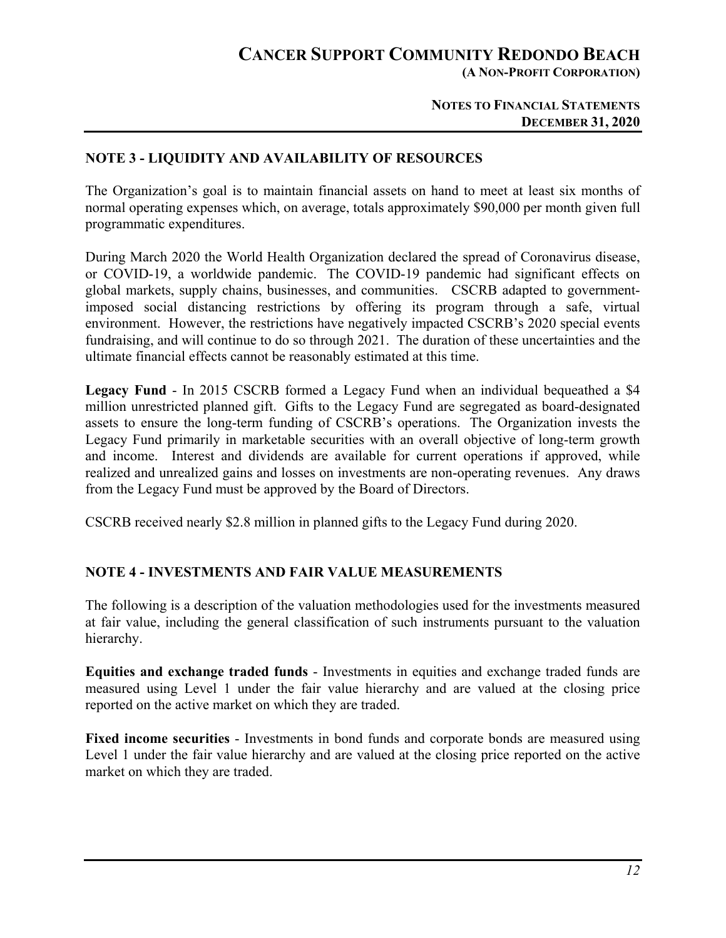**(A NON-PROFIT CORPORATION)** 

#### **NOTES TO FINANCIAL STATEMENTS DECEMBER 31, 2020**

### **NOTE 3 - LIQUIDITY AND AVAILABILITY OF RESOURCES**

The Organization's goal is to maintain financial assets on hand to meet at least six months of normal operating expenses which, on average, totals approximately \$90,000 per month given full programmatic expenditures.

During March 2020 the World Health Organization declared the spread of Coronavirus disease, or COVID-19, a worldwide pandemic. The COVID-19 pandemic had significant effects on global markets, supply chains, businesses, and communities. CSCRB adapted to governmentimposed social distancing restrictions by offering its program through a safe, virtual environment. However, the restrictions have negatively impacted CSCRB's 2020 special events fundraising, and will continue to do so through 2021. The duration of these uncertainties and the ultimate financial effects cannot be reasonably estimated at this time.

**Legacy Fund** - In 2015 CSCRB formed a Legacy Fund when an individual bequeathed a \$4 million unrestricted planned gift. Gifts to the Legacy Fund are segregated as board-designated assets to ensure the long-term funding of CSCRB's operations. The Organization invests the Legacy Fund primarily in marketable securities with an overall objective of long-term growth and income. Interest and dividends are available for current operations if approved, while realized and unrealized gains and losses on investments are non-operating revenues. Any draws from the Legacy Fund must be approved by the Board of Directors.

CSCRB received nearly \$2.8 million in planned gifts to the Legacy Fund during 2020.

## **NOTE 4 - INVESTMENTS AND FAIR VALUE MEASUREMENTS**

The following is a description of the valuation methodologies used for the investments measured at fair value, including the general classification of such instruments pursuant to the valuation hierarchy.

**Equities and exchange traded funds** - Investments in equities and exchange traded funds are measured using Level 1 under the fair value hierarchy and are valued at the closing price reported on the active market on which they are traded.

**Fixed income securities** - Investments in bond funds and corporate bonds are measured using Level 1 under the fair value hierarchy and are valued at the closing price reported on the active market on which they are traded.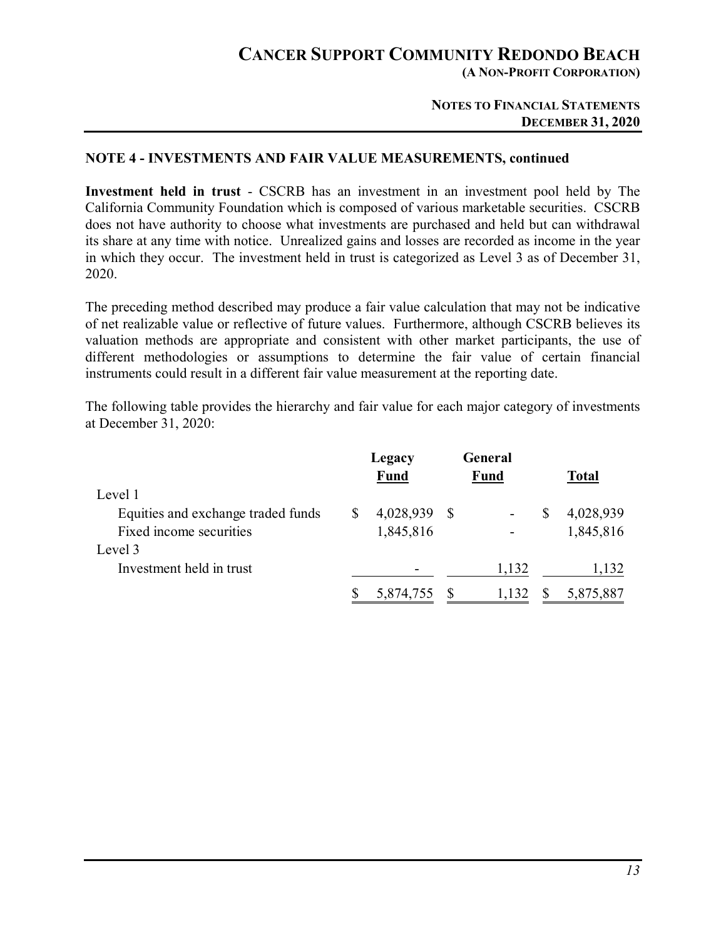**(A NON-PROFIT CORPORATION)** 

#### **NOTES TO FINANCIAL STATEMENTS DECEMBER 31, 2020**

#### **NOTE 4 - INVESTMENTS AND FAIR VALUE MEASUREMENTS, continued**

**Investment held in trust** - CSCRB has an investment in an investment pool held by The California Community Foundation which is composed of various marketable securities. CSCRB does not have authority to choose what investments are purchased and held but can withdrawal its share at any time with notice. Unrealized gains and losses are recorded as income in the year in which they occur. The investment held in trust is categorized as Level 3 as of December 31, 2020.

The preceding method described may produce a fair value calculation that may not be indicative of net realizable value or reflective of future values. Furthermore, although CSCRB believes its valuation methods are appropriate and consistent with other market participants, the use of different methodologies or assumptions to determine the fair value of certain financial instruments could result in a different fair value measurement at the reporting date.

The following table provides the hierarchy and fair value for each major category of investments at December 31, 2020:

|                                    | Legacy<br><b>Fund</b> |    | General<br><b>Fund</b> | <b>Total</b> |
|------------------------------------|-----------------------|----|------------------------|--------------|
| Level 1                            |                       |    |                        |              |
| Equities and exchange traded funds | 4,028,939             | -S |                        | 4,028,939    |
| Fixed income securities            | 1,845,816             |    |                        | 1,845,816    |
| Level 3                            |                       |    |                        |              |
| Investment held in trust           |                       |    | 1,132                  | 1,132        |
|                                    | 5,874,755             |    | 1,132                  | 5,875,887    |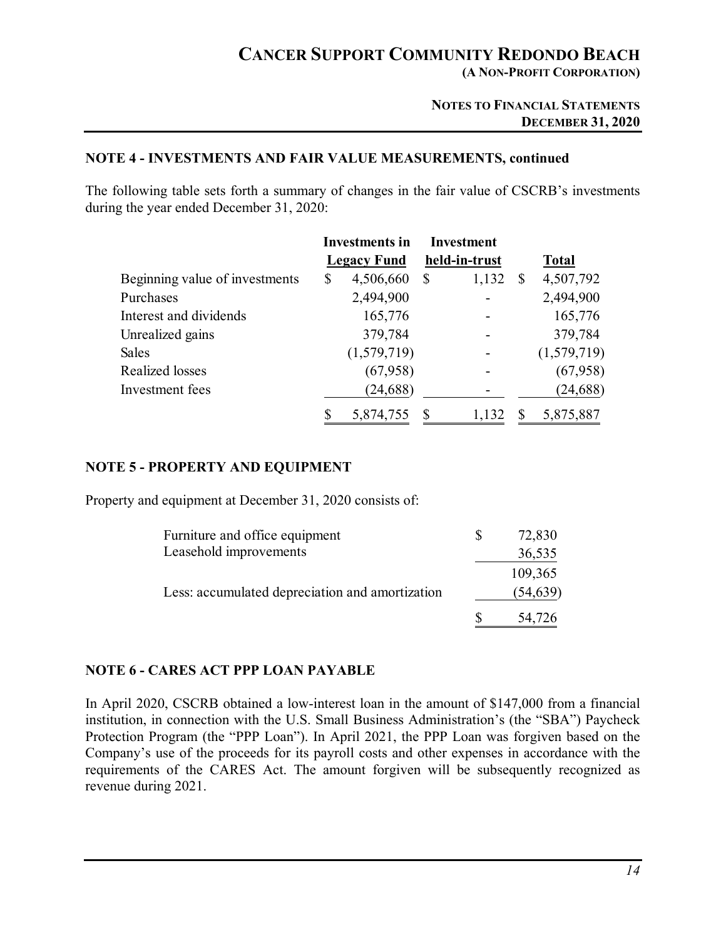**(A NON-PROFIT CORPORATION)** 

#### **NOTES TO FINANCIAL STATEMENTS DECEMBER 31, 2020**

#### **NOTE 4 - INVESTMENTS AND FAIR VALUE MEASUREMENTS, continued**

The following table sets forth a summary of changes in the fair value of CSCRB's investments during the year ended December 31, 2020:

|                                | <b>Investments in</b> |                    |   | <b>Investment</b> |              |              |
|--------------------------------|-----------------------|--------------------|---|-------------------|--------------|--------------|
|                                |                       | <b>Legacy Fund</b> |   | held-in-trust     |              | <b>Total</b> |
| Beginning value of investments | \$                    | 4,506,660          | S | 1,132             | <sup>S</sup> | 4,507,792    |
| Purchases                      |                       | 2,494,900          |   |                   |              | 2,494,900    |
| Interest and dividends         |                       | 165,776            |   |                   |              | 165,776      |
| Unrealized gains               |                       | 379,784            |   |                   |              | 379,784      |
| <b>Sales</b>                   |                       | (1,579,719)        |   |                   |              | (1,579,719)  |
| Realized losses                |                       | (67,958)           |   |                   |              | (67,958)     |
| Investment fees                |                       | (24, 688)          |   |                   |              | (24, 688)    |
|                                |                       | 5,874,755          |   | 1,132             |              | 5,875,887    |

#### **NOTE 5 - PROPERTY AND EQUIPMENT**

Property and equipment at December 31, 2020 consists of:

| Furniture and office equipment                  | 72,830    |
|-------------------------------------------------|-----------|
| Leasehold improvements                          | 36,535    |
|                                                 | 109,365   |
| Less: accumulated depreciation and amortization | (54, 639) |
|                                                 | 54,726    |

#### **NOTE 6 - CARES ACT PPP LOAN PAYABLE**

In April 2020, CSCRB obtained a low-interest loan in the amount of \$147,000 from a financial institution, in connection with the U.S. Small Business Administration's (the "SBA") Paycheck Protection Program (the "PPP Loan"). In April 2021, the PPP Loan was forgiven based on the Company's use of the proceeds for its payroll costs and other expenses in accordance with the requirements of the CARES Act. The amount forgiven will be subsequently recognized as revenue during 2021.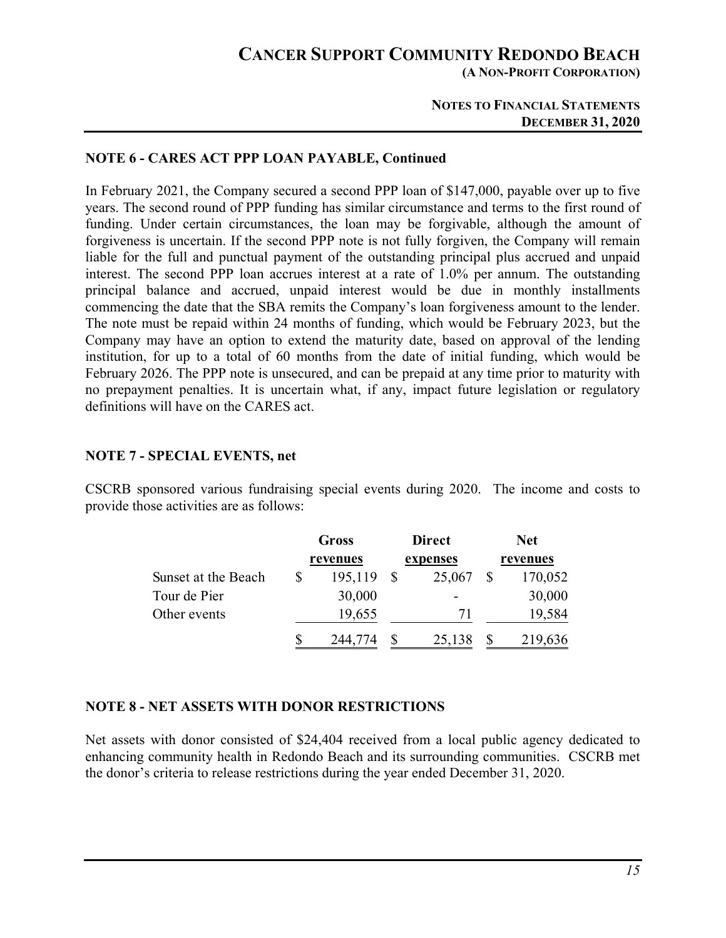**(A NON-PROFIT CORPORATION)** 

#### **NOTES TO FINANCIAL STATEMENTS DECEMBER 31, 2020**

#### **NOTE 6 - CARES ACT PPP LOAN PAYABLE, Continued**

In February 2021, the Company secured a second PPP loan of \$147,000, payable over up to five years. The second round of PPP funding has similar circumstance and terms to the first round of funding. Under certain circumstances, the loan may be forgivable, although the amount of forgiveness is uncertain. If the second PPP note is not fully forgiven, the Company will remain liable for the full and punctual payment of the outstanding principal plus accrued and unpaid interest. The second PPP loan accrues interest at a rate of 1.0% per annum. The outstanding principal balance and accrued, unpaid interest would be due in monthly installments commencing the date that the SBA remits the Company's loan forgiveness amount to the lender. The note must be repaid within 24 months of funding, which would be February 2023, but the Company may have an option to extend the maturity date, based on approval of the lending institution, for up to a total of 60 months from the date of initial funding, which would be February 2026. The PPP note is unsecured, and can be prepaid at any time prior to maturity with no prepayment penalties. It is uncertain what, if any, impact future legislation or regulatory definitions will have on the CARES act.

#### **NOTE 7 - SPECIAL EVENTS, net**

CSCRB sponsored various fundraising special events during 2020. The income and costs to provide those activities are as follows:

|                     | Gross    |  | <b>Direct</b> | <b>Net</b> |          |  |
|---------------------|----------|--|---------------|------------|----------|--|
|                     | revenues |  | expenses      |            | revenues |  |
| Sunset at the Beach | 195,119  |  | 25,067        |            | 170,052  |  |
| Tour de Pier        | 30,000   |  |               |            | 30,000   |  |
| Other events        | 19,655   |  | 71            |            | 19,584   |  |
|                     | 244,774  |  | 25,138        |            | 219,636  |  |

## **NOTE 8 - NET ASSETS WITH DONOR RESTRICTIONS**

Net assets with donor consisted of \$24,404 received from a local public agency dedicated to enhancing community health in Redondo Beach and its surrounding communities. CSCRB met the donor's criteria to release restrictions during the year ended December 31, 2020.